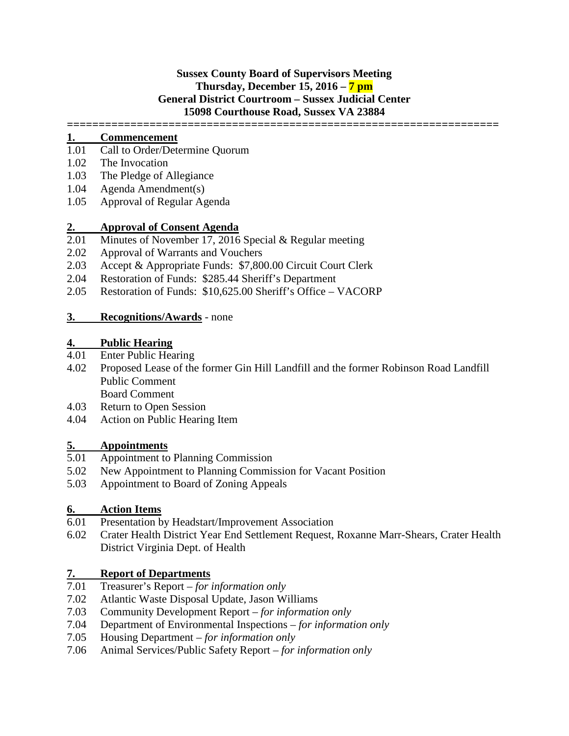## **Sussex County Board of Supervisors Meeting Thursday, December 15, 2016 – 7 pm General District Courtroom – Sussex Judicial Center 15098 Courthouse Road, Sussex VA 23884**

**====================================================================**

## **1. Commencement**

- 1.01 Call to Order/Determine Quorum
- 1.02 The Invocation
- 1.03 The Pledge of Allegiance
- 1.04 Agenda Amendment(s)
- 1.05 Approval of Regular Agenda

# **2. Approval of Consent Agenda**

- Minutes of November 17, 2016 Special & Regular meeting
- 2.02 Approval of Warrants and Vouchers
- 2.03 Accept & Appropriate Funds: \$7,800.00 Circuit Court Clerk
- 2.04 Restoration of Funds: \$285.44 Sheriff's Department
- 2.05 Restoration of Funds: \$10,625.00 Sheriff's Office VACORP

### **3. Recognitions/Awards** - none

## **4. Public Hearing**

- 4.01 Enter Public Hearing
- 4.02 Proposed Lease of the former Gin Hill Landfill and the former Robinson Road Landfill Public Comment Board Comment
- 4.03 Return to Open Session
- 4.04 Action on Public Hearing Item

# **5. Appointments**

- 5.01 Appointment to Planning Commission
- 5.02 New Appointment to Planning Commission for Vacant Position
- 5.03 Appointment to Board of Zoning Appeals

# **6. Action Items**

- Presentation by Headstart/Improvement Association
- 6.02 Crater Health District Year End Settlement Request, Roxanne Marr-Shears, Crater Health District Virginia Dept. of Health

# **7. Report of Departments**<br>**7.01 Treasurer's Report** – for a

- 7.01 Treasurer's Report *for information only*
- 7.02 Atlantic Waste Disposal Update, Jason Williams
- 7.03 Community Development Report *for information only*
- 7.04 Department of Environmental Inspections *for information only*
- 7.05 Housing Department *for information only*
- 7.06 Animal Services/Public Safety Report *for information only*